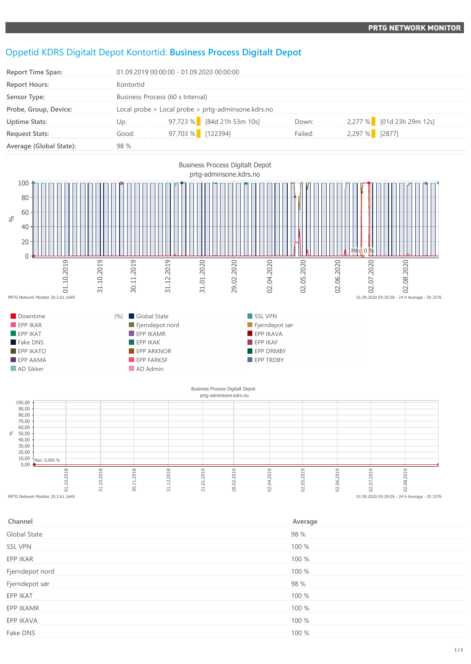## Oppetid KDRS Digitalt Depot Kontortid: **Business Process Digitalt Depot**

| <b>Report Time Span:</b> |           | 01.09.2019 00:00:00 - 01.09.2020 00:00:00              |         |                |                           |  |
|--------------------------|-----------|--------------------------------------------------------|---------|----------------|---------------------------|--|
| <b>Report Hours:</b>     | Kontortid |                                                        |         |                |                           |  |
| Sensor Type:             |           | Business Process (60 s Interval)                       |         |                |                           |  |
| Probe, Group, Device:    |           | Local probe $>$ Local probe $>$ prtg-adminsone.kdrs.no |         |                |                           |  |
| <b>Uptime Stats:</b>     | Up:       | $97,723\%$ [84d 21h 53m 10s]                           | Down:   |                | 2,277 % [01d 23h 29m 12s] |  |
| <b>Request Stats:</b>    | Good:     | 97,703 % [122394]                                      | Failed: | 2,297 % [2877] |                           |  |
| Average (Global State):  | 98 %      |                                                        |         |                |                           |  |



## $0,00 -$ 10,00 20,00 30,00 40,00 50,00  $60,00$ 70,00 80,00 %eg<br>
PRTG Network Monitor 20.3.61.1649 31.10.2018 30.11.2018 31.12.2018 31.01.2019 28.02.2019 02.04.2019 02.05.2019 02.06.2019 02.07.2019 02.08.2019 Max: 0,000 %  $01.09.2020 05:29:05 - 24$  h Average - ID 3376

| Channel             | Average |
|---------------------|---------|
| <b>Global State</b> | 98 %    |
| <b>SSL VPN</b>      | 100 %   |
| EPP IKAR            | 100 %   |
| Fjerndepot nord     | 100 %   |
| Fjerndepot sør      | 98 %    |
| EPP IKAT            | 100 %   |
| EPP IKAMR           | 100 %   |
| EPP IKAVA           | 100 %   |
| Fake DNS            | 100 %   |
|                     |         |